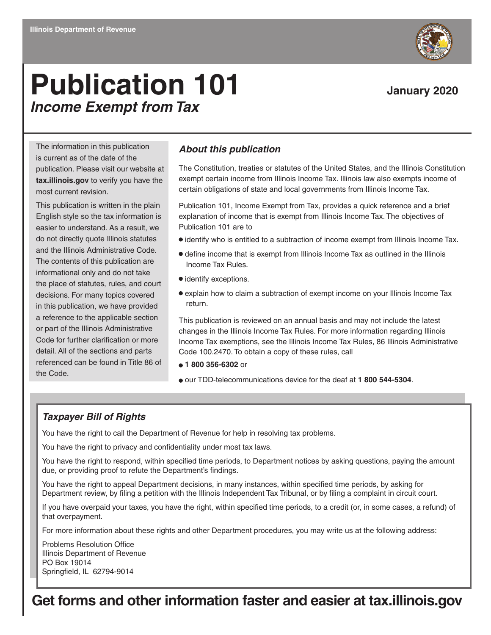# **Publication 101** January 2020 *Income Exempt from Tax*

The information in this publication is current as of the date of the publication. Please visit our website at **tax.illinois.gov** to verify you have the most current revision.

This publication is written in the plain English style so the tax information is easier to understand. As a result, we do not directly quote Illinois statutes and the Illinois Administrative Code. The contents of this publication are informational only and do not take the place of statutes, rules, and court decisions. For many topics covered in this publication, we have provided a reference to the applicable section or part of the Illinois Administrative Code for further clarification or more detail. All of the sections and parts referenced can be found in Title 86 of the Code.

#### *About this publication*

The Constitution, treaties or statutes of the United States, and the Illinois Constitution exempt certain income from Illinois Income Tax. Illinois law also exempts income of certain obligations of state and local governments from Illinois Income Tax.

Publication 101, Income Exempt from Tax, provides a quick reference and a brief explanation of income that is exempt from Illinois Income Tax. The objectives of Publication 101 are to

- $\bullet$  identify who is entitled to a subtraction of income exempt from Illinois Income Tax.
- define income that is exempt from Illinois Income Tax as outlined in the Illinois Income Tax Rules.
- $\bullet$  identify exceptions.
- explain how to claim a subtraction of exempt income on your Illinois Income Tax return.

This publication is reviewed on an annual basis and may not include the latest changes in the Illinois Income Tax Rules. For more information regarding Illinois Income Tax exemptions, see the Illinois Income Tax Rules, 86 Illinois Administrative Code 100.2470. To obtain a copy of these rules, call

- **1 800 356-6302** or
- our TDD-telecommunications device for the deaf at **1 800 544-5304**.

#### *Taxpayer Bill of Rights*

You have the right to call the Department of Revenue for help in resolving tax problems.

You have the right to privacy and confidentiality under most tax laws.

You have the right to respond, within specified time periods, to Department notices by asking questions, paying the amount due, or providing proof to refute the Department's findings.

You have the right to appeal Department decisions, in many instances, within specified time periods, by asking for Department review, by filing a petition with the Illinois Independent Tax Tribunal, or by filing a complaint in circuit court.

If you have overpaid your taxes, you have the right, within specified time periods, to a credit (or, in some cases, a refund) of that overpayment.

For more information about these rights and other Department procedures, you may write us at the following address:

Problems Resolution Office Illinois Department of Revenue PO Box 19014 Springfield, IL 62794-9014

### **Get forms and other information faster and easier at tax.illinois.gov**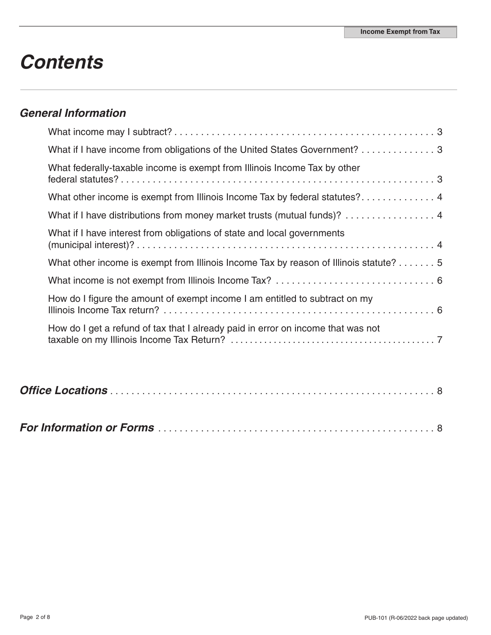# *Contents*

### *General Information*

| What if I have income from obligations of the United States Government? 3             |
|---------------------------------------------------------------------------------------|
| What federally-taxable income is exempt from Illinois Income Tax by other             |
| What other income is exempt from Illinois Income Tax by federal statutes? 4           |
| What if I have distributions from money market trusts (mutual funds)? 4               |
| What if I have interest from obligations of state and local governments               |
| What other income is exempt from Illinois Income Tax by reason of Illinois statute? 5 |
|                                                                                       |
| How do I figure the amount of exempt income I am entitled to subtract on my           |
| How do I get a refund of tax that I already paid in error on income that was not      |

|--|--|--|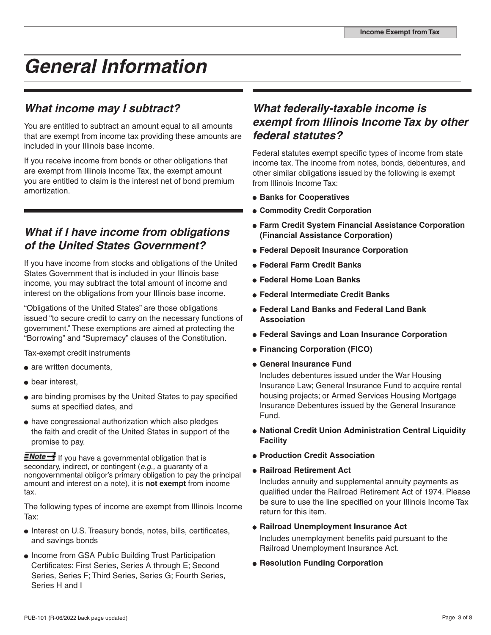# *General Information*

### *What income may I subtract?*

You are entitled to subtract an amount equal to all amounts that are exempt from income tax providing these amounts are included in your Illinois base income.

If you receive income from bonds or other obligations that are exempt from Illinois Income Tax, the exempt amount you are entitled to claim is the interest net of bond premium amortization.

### *What if I have income from obligations of the United States Government?*

If you have income from stocks and obligations of the United States Government that is included in your Illinois base income, you may subtract the total amount of income and interest on the obligations from your Illinois base income.

"Obligations of the United States" are those obligations issued "to secure credit to carry on the necessary functions of government." These exemptions are aimed at protecting the "Borrowing" and "Supremacy" clauses of the Constitution.

Tax-exempt credit instruments

- are written documents,
- bear interest.
- are binding promises by the United States to pay specified sums at specified dates, and
- have congressional authorization which also pledges the faith and credit of the United States in support of the promise to pay.

**ENote +** If you have a governmental obligation that is secondary, indirect, or contingent (*e.g.,* a guaranty of a nongovernmental obligor's primary obligation to pay the principal amount and interest on a note), it is **not exempt** from income tax.

The following types of income are exempt from Illinois Income Tax:

- Interest on U.S. Treasury bonds, notes, bills, certificates, and savings bonds
- Income from GSA Public Building Trust Participation Certificates: First Series, Series A through E; Second Series, Series F; Third Series, Series G; Fourth Series, Series H and I

#### *What federally-taxable income is exempt from Illinois Income Tax by other federal statutes?*

Federal statutes exempt specific types of income from state income tax. The income from notes, bonds, debentures, and other similar obligations issued by the following is exempt from Illinois Income Tax:

- $\bullet$  **Banks for Cooperatives**
- **Commodity Credit Corporation**
- **Farm Credit System Financial Assistance Corporation (Financial Assistance Corporation)**
- **Federal Deposit Insurance Corporation**
- **Federal Farm Credit Banks**
- **Federal Home Loan Banks**
- **Federal Intermediate Credit Banks**
- **Federal Land Banks and Federal Land Bank Association**
- **Federal Savings and Loan Insurance Corporation**
- **Financing Corporation (FICO)**
- **General Insurance Fund**

Includes debentures issued under the War Housing Insurance Law; General Insurance Fund to acquire rental housing projects; or Armed Services Housing Mortgage Insurance Debentures issued by the General Insurance Fund.

- **National Credit Union Administration Central Liquidity Facility**
- **Production Credit Association**
- **Railroad Retirement Act**

Includes annuity and supplemental annuity payments as qualified under the Railroad Retirement Act of 1974. Please be sure to use the line specified on your Illinois Income Tax return for this item.

- **Railroad Unemployment Insurance Act**  Includes unemployment benefits paid pursuant to the Railroad Unemployment Insurance Act.
- **Resolution Funding Corporation**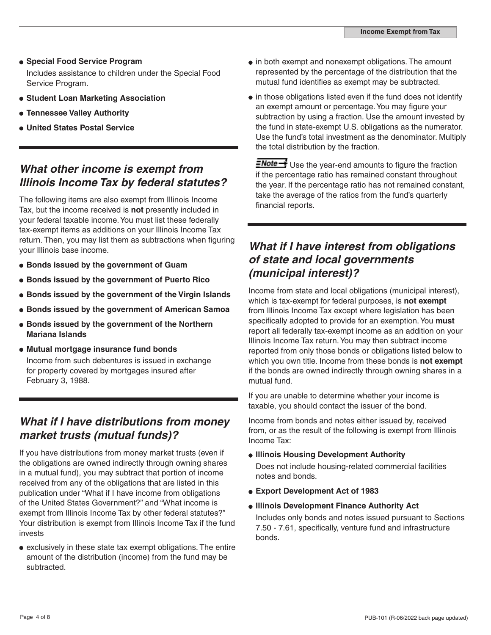- **Special Food Service Program**  Includes assistance to children under the Special Food Service Program.
- **Student Loan Marketing Association**
- **Tennessee Valley Authority**
- **United States Postal Service**

#### *What other income is exempt from Illinois Income Tax by federal statutes?*

The following items are also exempt from Illinois Income Tax, but the income received is **not** presently included in your federal taxable income. You must list these federally tax-exempt items as additions on your Illinois Income Tax return. Then, you may list them as subtractions when figuring your Illinois base income.

- **Bonds issued by the government of Guam**
- **Bonds issued by the government of Puerto Rico**
- **Bonds issued by the government of the Virgin Islands**
- **Bonds issued by the government of American Samoa**
- **Bonds issued by the government of the Northern Mariana Islands**
- **Mutual mortgage insurance fund bonds** Income from such debentures is issued in exchange for property covered by mortgages insured after February 3, 1988.

#### *What if I have distributions from money market trusts (mutual funds)?*

If you have distributions from money market trusts (even if the obligations are owned indirectly through owning shares in a mutual fund), you may subtract that portion of income received from any of the obligations that are listed in this publication under "What if I have income from obligations of the United States Government?" and "What income is exempt from Illinois Income Tax by other federal statutes?" Your distribution is exempt from Illinois Income Tax if the fund invests

exclusively in these state tax exempt obligations. The entire amount of the distribution (income) from the fund may be subtracted.

- in both exempt and nonexempt obligations. The amount represented by the percentage of the distribution that the mutual fund identifies as exempt may be subtracted.
- $\bullet$  in those obligations listed even if the fund does not identify an exempt amount or percentage. You may figure your subtraction by using a fraction. Use the amount invested by the fund in state-exempt U.S. obligations as the numerator. Use the fund's total investment as the denominator. Multiply the total distribution by the fraction.

 $\frac{1}{\sqrt{1-\frac{1}{c}}}$  Use the year-end amounts to figure the fraction if the percentage ratio has remained constant throughout the year. If the percentage ratio has not remained constant, take the average of the ratios from the fund's quarterly financial reports.

#### *What if I have interest from obligations of state and local governments (municipal interest)?*

Income from state and local obligations (municipal interest), which is tax-exempt for federal purposes, is **not exempt** from Illinois Income Tax except where legislation has been specifically adopted to provide for an exemption. You **must** report all federally tax-exempt income as an addition on your Illinois Income Tax return. You may then subtract income reported from only those bonds or obligations listed below to which you own title. Income from these bonds is **not exempt** if the bonds are owned indirectly through owning shares in a mutual fund.

If you are unable to determine whether your income is taxable, you should contact the issuer of the bond.

Income from bonds and notes either issued by, received from, or as the result of the following is exempt from Illinois Income Tax:

- **Illinois Housing Development Authority** Does not include housing-related commercial facilities notes and bonds.
- **Export Development Act of 1983**
- **Illinois Development Finance Authority Act**

Includes only bonds and notes issued pursuant to Sections 7.50 - 7.61, specifically, venture fund and infrastructure bonds.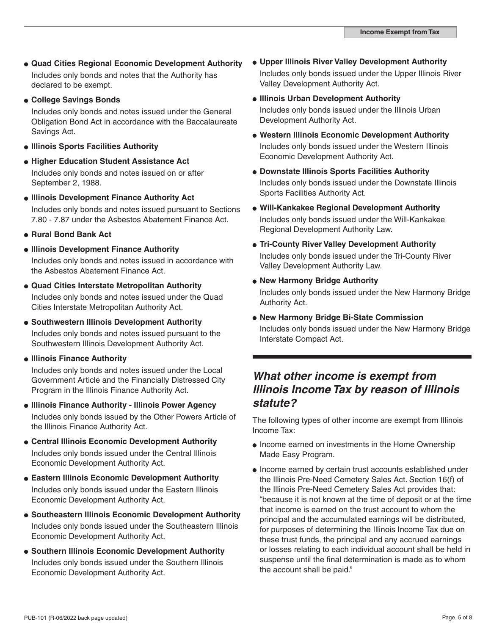- **Quad Cities Regional Economic Development Authority** Includes only bonds and notes that the Authority has declared to be exempt.
- **College Savings Bonds**

Includes only bonds and notes issued under the General Obligation Bond Act in accordance with the Baccalaureate Savings Act.

- **Illinois Sports Facilities Authority**
- **Higher Education Student Assistance Act** Includes only bonds and notes issued on or after September 2, 1988.
- **Illinois Development Finance Authority Act** Includes only bonds and notes issued pursuant to Sections 7.80 - 7.87 under the Asbestos Abatement Finance Act.
- **Rural Bond Bank Act**
- **Illinois Development Finance Authority** Includes only bonds and notes issued in accordance with the Asbestos Abatement Finance Act.
- **Quad Cities Interstate Metropolitan Authority**  Includes only bonds and notes issued under the Quad Cities Interstate Metropolitan Authority Act.
- **Southwestern Illinois Development Authority** Includes only bonds and notes issued pursuant to the Southwestern Illinois Development Authority Act.
- **Illinois Finance Authority**

Includes only bonds and notes issued under the Local Government Article and the Financially Distressed City Program in the Illinois Finance Authority Act.

- **Illinois Finance Authority Illinois Power Agency** Includes only bonds issued by the Other Powers Article of the Illinois Finance Authority Act.
- **Central Illinois Economic Development Authority** Includes only bonds issued under the Central Illinois Economic Development Authority Act.
- **Eastern Illinois Economic Development Authority** Includes only bonds issued under the Eastern Illinois Economic Development Authority Act.
- **Southeastern Illinois Economic Development Authority** Includes only bonds issued under the Southeastern Illinois Economic Development Authority Act.
- **Southern Illinois Economic Development Authority** Includes only bonds issued under the Southern Illinois Economic Development Authority Act.
- **Upper Illinois River Valley Development Authority** Includes only bonds issued under the Upper Illinois River Valley Development Authority Act.
- **Illinois Urban Development Authority** Includes only bonds issued under the Illinois Urban Development Authority Act.
- **Western Illinois Economic Development Authority** Includes only bonds issued under the Western Illinois Economic Development Authority Act.
- **Downstate Illinois Sports Facilities Authority** Includes only bonds issued under the Downstate Illinois Sports Facilities Authority Act.
- **Will-Kankakee Regional Development Authority** Includes only bonds issued under the Will-Kankakee Regional Development Authority Law.
- **Tri-County River Valley Development Authority** Includes only bonds issued under the Tri-County River Valley Development Authority Law.
- **New Harmony Bridge Authority**

Includes only bonds issued under the New Harmony Bridge Authority Act.

**New Harmony Bridge Bi-State Commission** Includes only bonds issued under the New Harmony Bridge Interstate Compact Act.

#### *What other income is exempt from Illinois Income Tax by reason of Illinois statute?*

The following types of other income are exempt from Illinois Income Tax:

- Income earned on investments in the Home Ownership Made Easy Program.
- Income earned by certain trust accounts established under the Illinois Pre-Need Cemetery Sales Act. Section 16(f) of the Illinois Pre-Need Cemetery Sales Act provides that: "because it is not known at the time of deposit or at the time that income is earned on the trust account to whom the principal and the accumulated earnings will be distributed, for purposes of determining the Illinois Income Tax due on these trust funds, the principal and any accrued earnings or losses relating to each individual account shall be held in suspense until the final determination is made as to whom the account shall be paid."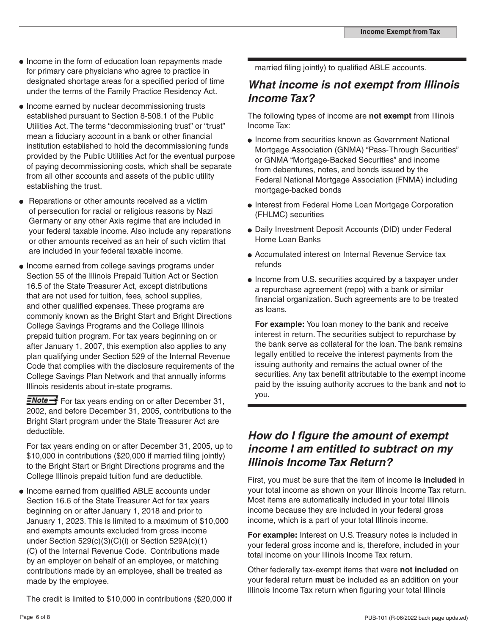- Income in the form of education loan repayments made for primary care physicians who agree to practice in designated shortage areas for a specified period of time under the terms of the Family Practice Residency Act.
- Income earned by nuclear decommissioning trusts established pursuant to Section 8-508.1 of the Public Utilities Act. The terms "decommissioning trust" or "trust" mean a fiduciary account in a bank or other financial institution established to hold the decommissioning funds provided by the Public Utilities Act for the eventual purpose of paying decommissioning costs, which shall be separate from all other accounts and assets of the public utility establishing the trust.
- Reparations or other amounts received as a victim of persecution for racial or religious reasons by Nazi Germany or any other Axis regime that are included in your federal taxable income. Also include any reparations or other amounts received as an heir of such victim that are included in your federal taxable income.
- Income earned from college savings programs under Section 55 of the Illinois Prepaid Tuition Act or Section 16.5 of the State Treasurer Act, except distributions that are not used for tuition, fees, school supplies, and other qualified expenses. These programs are commonly known as the Bright Start and Bright Directions College Savings Programs and the College Illinois prepaid tuition program. For tax years beginning on or after January 1, 2007, this exemption also applies to any plan qualifying under Section 529 of the Internal Revenue Code that complies with the disclosure requirements of the College Savings Plan Network and that annually informs Illinois residents about in-state programs.

**ENote** For tax years ending on or after December 31, 2002, and before December 31, 2005, contributions to the Bright Start program under the State Treasurer Act are deductible.

For tax years ending on or after December 31, 2005, up to \$10,000 in contributions (\$20,000 if married filing jointly) to the Bright Start or Bright Directions programs and the College Illinois prepaid tuition fund are deductible.

• Income earned from qualified ABLE accounts under Section 16.6 of the State Treasurer Act for tax years beginning on or after January 1, 2018 and prior to January 1, 2023. This is limited to a maximum of \$10,000 and exempts amounts excluded from gross income under Section 529(c)(3)(C)(i) or Section 529A(c)(1) (C) of the Internal Revenue Code. Contributions made by an employer on behalf of an employee, or matching contributions made by an employee, shall be treated as made by the employee.

The credit is limited to \$10,000 in contributions (\$20,000 if

married filing jointly) to qualified ABLE accounts.

#### *What income is not exempt from Illinois Income Tax?*

The following types of income are **not exempt** from Illinois Income Tax:

- Income from securities known as Government National Mortgage Association (GNMA) "Pass-Through Securities" or GNMA "Mortgage-Backed Securities" and income from debentures, notes, and bonds issued by the Federal National Mortgage Association (FNMA) including mortgage-backed bonds
- Interest from Federal Home Loan Mortgage Corporation (FHLMC) securities
- Daily Investment Deposit Accounts (DID) under Federal Home Loan Banks
- Accumulated interest on Internal Revenue Service tax refunds
- Income from U.S. securities acquired by a taxpayer under a repurchase agreement (repo) with a bank or similar financial organization. Such agreements are to be treated as loans.

**For example:** You loan money to the bank and receive interest in return. The securities subject to repurchase by the bank serve as collateral for the loan. The bank remains legally entitled to receive the interest payments from the issuing authority and remains the actual owner of the securities. Any tax benefit attributable to the exempt income paid by the issuing authority accrues to the bank and **not** to you.

#### *How do I figure the amount of exempt income I am entitled to subtract on my Illinois Income Tax Return?*

First, you must be sure that the item of income **is included** in your total income as shown on your Illinois Income Tax return. Most items are automatically included in your total Illinois income because they are included in your federal gross income, which is a part of your total Illinois income.

**For example:** Interest on U.S. Treasury notes is included in your federal gross income and is, therefore, included in your total income on your Illinois Income Tax return.

Other federally tax-exempt items that were **not included** on your federal return **must** be included as an addition on your Illinois Income Tax return when figuring your total Illinois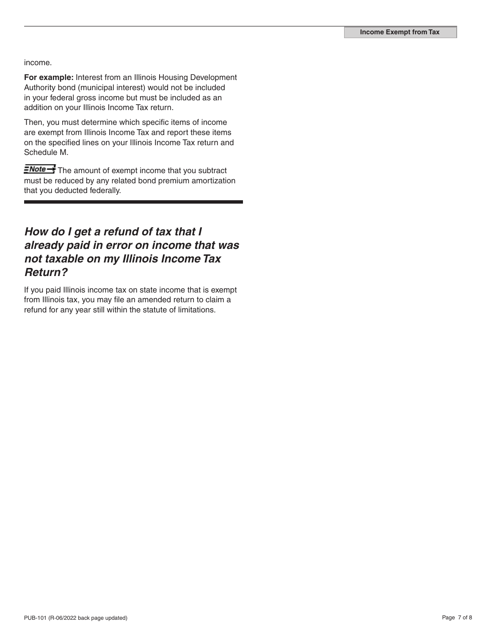income.

**For example:** Interest from an Illinois Housing Development Authority bond (municipal interest) would not be included in your federal gross income but must be included as an addition on your Illinois Income Tax return.

Then, you must determine which specific items of income are exempt from Illinois Income Tax and report these items on the specified lines on your Illinois Income Tax return and Schedule M.

**ENote** The amount of exempt income that you subtract must be reduced by any related bond premium amortization that you deducted federally.

#### *How do I get a refund of tax that I already paid in error on income that was not taxable on my Illinois Income Tax Return?*

If you paid Illinois income tax on state income that is exempt from Illinois tax, you may file an amended return to claim a refund for any year still within the statute of limitations.